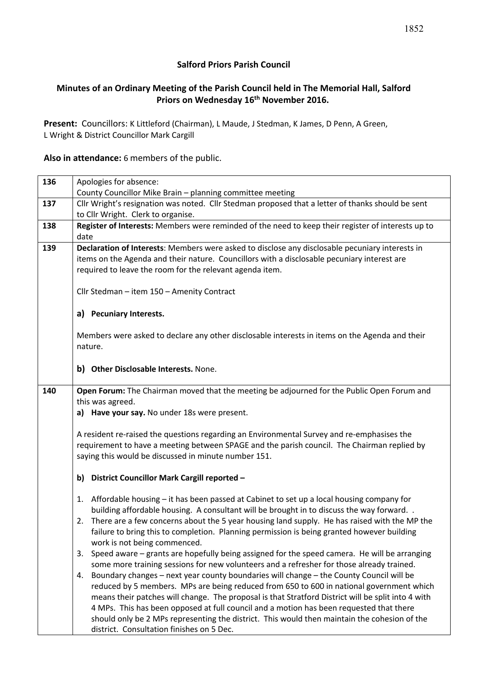## **Salford Priors Parish Council**

## **Minutes of an Ordinary Meeting of the Parish Council held in The Memorial Hall, Salford Priors on Wednesday 16th November 2016.**

**Present:** Councillors: K Littleford (Chairman), L Maude, J Stedman, K James, D Penn, A Green, L Wright & District Councillor Mark Cargill

**Also in attendance:** 6 members of the public.

| 136 | Apologies for absence:<br>County Councillor Mike Brain - planning committee meeting                                                                                                                                                                                                                                                                                                                                                                                                                                                                                                                                                                                                                                                                                                                                                                                                                                                                                                                                                                                                                                                                                      |  |  |  |
|-----|--------------------------------------------------------------------------------------------------------------------------------------------------------------------------------------------------------------------------------------------------------------------------------------------------------------------------------------------------------------------------------------------------------------------------------------------------------------------------------------------------------------------------------------------------------------------------------------------------------------------------------------------------------------------------------------------------------------------------------------------------------------------------------------------------------------------------------------------------------------------------------------------------------------------------------------------------------------------------------------------------------------------------------------------------------------------------------------------------------------------------------------------------------------------------|--|--|--|
| 137 | Cllr Wright's resignation was noted. Cllr Stedman proposed that a letter of thanks should be sent<br>to Cllr Wright. Clerk to organise.                                                                                                                                                                                                                                                                                                                                                                                                                                                                                                                                                                                                                                                                                                                                                                                                                                                                                                                                                                                                                                  |  |  |  |
| 138 | Register of Interests: Members were reminded of the need to keep their register of interests up to<br>date                                                                                                                                                                                                                                                                                                                                                                                                                                                                                                                                                                                                                                                                                                                                                                                                                                                                                                                                                                                                                                                               |  |  |  |
| 139 | Declaration of Interests: Members were asked to disclose any disclosable pecuniary interests in<br>items on the Agenda and their nature. Councillors with a disclosable pecuniary interest are<br>required to leave the room for the relevant agenda item.                                                                                                                                                                                                                                                                                                                                                                                                                                                                                                                                                                                                                                                                                                                                                                                                                                                                                                               |  |  |  |
|     | Cllr Stedman - item 150 - Amenity Contract                                                                                                                                                                                                                                                                                                                                                                                                                                                                                                                                                                                                                                                                                                                                                                                                                                                                                                                                                                                                                                                                                                                               |  |  |  |
|     | a) Pecuniary Interests.                                                                                                                                                                                                                                                                                                                                                                                                                                                                                                                                                                                                                                                                                                                                                                                                                                                                                                                                                                                                                                                                                                                                                  |  |  |  |
|     | Members were asked to declare any other disclosable interests in items on the Agenda and their<br>nature.                                                                                                                                                                                                                                                                                                                                                                                                                                                                                                                                                                                                                                                                                                                                                                                                                                                                                                                                                                                                                                                                |  |  |  |
|     | b) Other Disclosable Interests. None.                                                                                                                                                                                                                                                                                                                                                                                                                                                                                                                                                                                                                                                                                                                                                                                                                                                                                                                                                                                                                                                                                                                                    |  |  |  |
| 140 | Open Forum: The Chairman moved that the meeting be adjourned for the Public Open Forum and<br>this was agreed.<br>a) Have your say. No under 18s were present.<br>A resident re-raised the questions regarding an Environmental Survey and re-emphasises the<br>requirement to have a meeting between SPAGE and the parish council. The Chairman replied by<br>saying this would be discussed in minute number 151.                                                                                                                                                                                                                                                                                                                                                                                                                                                                                                                                                                                                                                                                                                                                                      |  |  |  |
|     | b) District Councillor Mark Cargill reported -                                                                                                                                                                                                                                                                                                                                                                                                                                                                                                                                                                                                                                                                                                                                                                                                                                                                                                                                                                                                                                                                                                                           |  |  |  |
|     | Affordable housing - it has been passed at Cabinet to set up a local housing company for<br>1.<br>building affordable housing. A consultant will be brought in to discuss the way forward<br>There are a few concerns about the 5 year housing land supply. He has raised with the MP the<br>2.<br>failure to bring this to completion. Planning permission is being granted however building<br>work is not being commenced.<br>3. Speed aware - grants are hopefully being assigned for the speed camera. He will be arranging<br>some more training sessions for new volunteers and a refresher for those already trained.<br>Boundary changes - next year county boundaries will change - the County Council will be<br>4.<br>reduced by 5 members. MPs are being reduced from 650 to 600 in national government which<br>means their patches will change. The proposal is that Stratford District will be split into 4 with<br>4 MPs. This has been opposed at full council and a motion has been requested that there<br>should only be 2 MPs representing the district. This would then maintain the cohesion of the<br>district. Consultation finishes on 5 Dec. |  |  |  |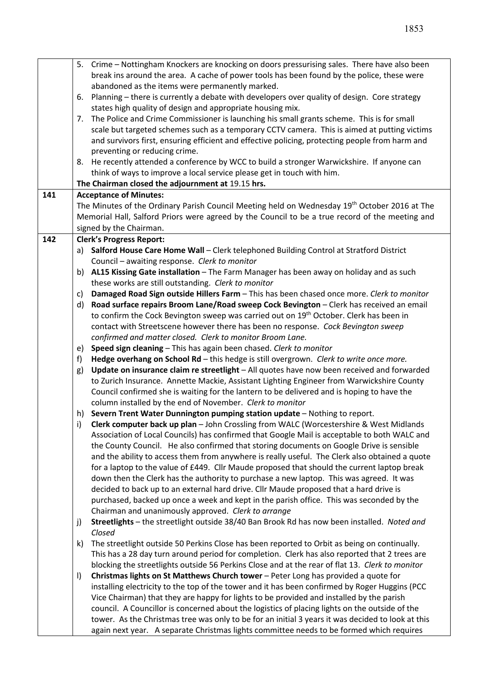|     |                                                                                                           | 5. Crime – Nottingham Knockers are knocking on doors pressurising sales. There have also been                                                                                                 |  |
|-----|-----------------------------------------------------------------------------------------------------------|-----------------------------------------------------------------------------------------------------------------------------------------------------------------------------------------------|--|
|     | break ins around the area. A cache of power tools has been found by the police, these were                |                                                                                                                                                                                               |  |
|     |                                                                                                           | abandoned as the items were permanently marked.                                                                                                                                               |  |
|     | Planning - there is currently a debate with developers over quality of design. Core strategy<br>6.        |                                                                                                                                                                                               |  |
|     |                                                                                                           | states high quality of design and appropriate housing mix.                                                                                                                                    |  |
|     | 7.                                                                                                        | The Police and Crime Commissioner is launching his small grants scheme. This is for small                                                                                                     |  |
|     | scale but targeted schemes such as a temporary CCTV camera. This is aimed at putting victims              |                                                                                                                                                                                               |  |
|     |                                                                                                           | and survivors first, ensuring efficient and effective policing, protecting people from harm and                                                                                               |  |
|     |                                                                                                           | preventing or reducing crime.                                                                                                                                                                 |  |
|     |                                                                                                           | 8. He recently attended a conference by WCC to build a stronger Warwickshire. If anyone can                                                                                                   |  |
|     |                                                                                                           | think of ways to improve a local service please get in touch with him.                                                                                                                        |  |
|     |                                                                                                           | The Chairman closed the adjournment at 19.15 hrs.                                                                                                                                             |  |
| 141 | <b>Acceptance of Minutes:</b>                                                                             |                                                                                                                                                                                               |  |
|     | The Minutes of the Ordinary Parish Council Meeting held on Wednesday 19 <sup>th</sup> October 2016 at The |                                                                                                                                                                                               |  |
|     |                                                                                                           | Memorial Hall, Salford Priors were agreed by the Council to be a true record of the meeting and                                                                                               |  |
|     | signed by the Chairman.                                                                                   |                                                                                                                                                                                               |  |
| 142 |                                                                                                           | <b>Clerk's Progress Report:</b>                                                                                                                                                               |  |
|     |                                                                                                           | a) Salford House Care Home Wall - Clerk telephoned Building Control at Stratford District                                                                                                     |  |
|     |                                                                                                           | Council - awaiting response. Clerk to monitor                                                                                                                                                 |  |
|     | b)                                                                                                        | AL15 Kissing Gate installation - The Farm Manager has been away on holiday and as such                                                                                                        |  |
|     |                                                                                                           | these works are still outstanding. Clerk to monitor                                                                                                                                           |  |
|     | C)                                                                                                        | Damaged Road Sign outside Hillers Farm - This has been chased once more. Clerk to monitor                                                                                                     |  |
|     | d)                                                                                                        | Road surface repairs Broom Lane/Road sweep Cock Bevington - Clerk has received an email                                                                                                       |  |
|     |                                                                                                           | to confirm the Cock Bevington sweep was carried out on 19 <sup>th</sup> October. Clerk has been in                                                                                            |  |
|     |                                                                                                           | contact with Streetscene however there has been no response. Cock Bevington sweep                                                                                                             |  |
|     |                                                                                                           | confirmed and matter closed. Clerk to monitor Broom Lane.                                                                                                                                     |  |
|     | e)                                                                                                        | Speed sign cleaning - This has again been chased. Clerk to monitor                                                                                                                            |  |
|     | f)                                                                                                        | Hedge overhang on School Rd - this hedge is still overgrown. Clerk to write once more.                                                                                                        |  |
|     | g)                                                                                                        | Update on insurance claim re streetlight - All quotes have now been received and forwarded                                                                                                    |  |
|     |                                                                                                           | to Zurich Insurance. Annette Mackie, Assistant Lighting Engineer from Warwickshire County                                                                                                     |  |
|     |                                                                                                           | Council confirmed she is waiting for the lantern to be delivered and is hoping to have the                                                                                                    |  |
|     |                                                                                                           | column installed by the end of November. Clerk to monitor                                                                                                                                     |  |
|     | h)                                                                                                        | Severn Trent Water Dunnington pumping station update - Nothing to report.                                                                                                                     |  |
|     | i)                                                                                                        | Clerk computer back up plan - John Crossling from WALC (Worcestershire & West Midlands                                                                                                        |  |
|     |                                                                                                           | Association of Local Councils) has confirmed that Google Mail is acceptable to both WALC and                                                                                                  |  |
|     |                                                                                                           | the County Council. He also confirmed that storing documents on Google Drive is sensible                                                                                                      |  |
|     |                                                                                                           | and the ability to access them from anywhere is really useful. The Clerk also obtained a quote                                                                                                |  |
|     |                                                                                                           | for a laptop to the value of £449. Cllr Maude proposed that should the current laptop break                                                                                                   |  |
|     |                                                                                                           | down then the Clerk has the authority to purchase a new laptop. This was agreed. It was                                                                                                       |  |
|     |                                                                                                           | decided to back up to an external hard drive. Cllr Maude proposed that a hard drive is                                                                                                        |  |
|     |                                                                                                           | purchased, backed up once a week and kept in the parish office. This was seconded by the                                                                                                      |  |
|     |                                                                                                           | Chairman and unanimously approved. Clerk to arrange                                                                                                                                           |  |
|     | j)                                                                                                        | Streetlights - the streetlight outside 38/40 Ban Brook Rd has now been installed. Noted and                                                                                                   |  |
|     |                                                                                                           | Closed                                                                                                                                                                                        |  |
|     | k)                                                                                                        | The streetlight outside 50 Perkins Close has been reported to Orbit as being on continually.                                                                                                  |  |
|     |                                                                                                           | This has a 28 day turn around period for completion. Clerk has also reported that 2 trees are                                                                                                 |  |
|     |                                                                                                           | blocking the streetlights outside 56 Perkins Close and at the rear of flat 13. Clerk to monitor                                                                                               |  |
|     | $\vert$                                                                                                   | Christmas lights on St Matthews Church tower - Peter Long has provided a quote for                                                                                                            |  |
|     |                                                                                                           | installing electricity to the top of the tower and it has been confirmed by Roger Huggins (PCC                                                                                                |  |
|     |                                                                                                           | Vice Chairman) that they are happy for lights to be provided and installed by the parish                                                                                                      |  |
|     |                                                                                                           | council. A Councillor is concerned about the logistics of placing lights on the outside of the                                                                                                |  |
|     |                                                                                                           | tower. As the Christmas tree was only to be for an initial 3 years it was decided to look at this<br>again next year. A separate Christmas lights committee needs to be formed which requires |  |
|     |                                                                                                           |                                                                                                                                                                                               |  |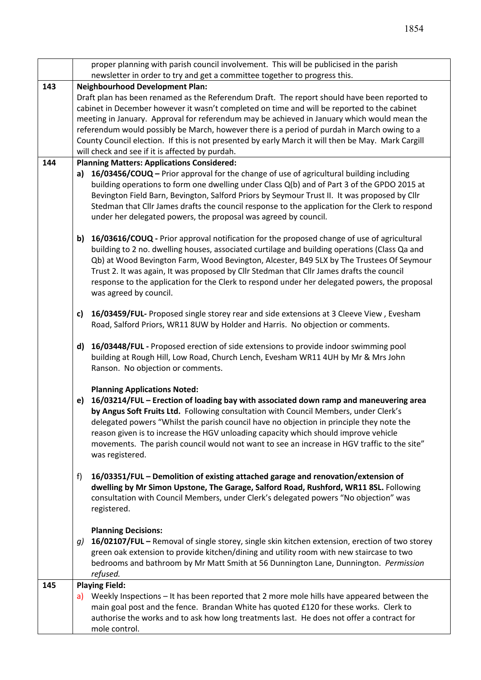|     | proper planning with parish council involvement. This will be publicised in the parish                                                                                             |  |  |  |  |
|-----|------------------------------------------------------------------------------------------------------------------------------------------------------------------------------------|--|--|--|--|
|     | newsletter in order to try and get a committee together to progress this.                                                                                                          |  |  |  |  |
| 143 | <b>Neighbourhood Development Plan:</b>                                                                                                                                             |  |  |  |  |
|     | Draft plan has been renamed as the Referendum Draft. The report should have been reported to                                                                                       |  |  |  |  |
|     | cabinet in December however it wasn't completed on time and will be reported to the cabinet                                                                                        |  |  |  |  |
|     | meeting in January. Approval for referendum may be achieved in January which would mean the                                                                                        |  |  |  |  |
|     | referendum would possibly be March, however there is a period of purdah in March owing to a                                                                                        |  |  |  |  |
|     | County Council election. If this is not presented by early March it will then be May. Mark Cargill                                                                                 |  |  |  |  |
|     | will check and see if it is affected by purdah.                                                                                                                                    |  |  |  |  |
| 144 | <b>Planning Matters: Applications Considered:</b><br>a) 16/03456/COUQ – Prior approval for the change of use of agricultural building including                                    |  |  |  |  |
|     | building operations to form one dwelling under Class Q(b) and of Part 3 of the GPDO 2015 at                                                                                        |  |  |  |  |
|     | Bevington Field Barn, Bevington, Salford Priors by Seymour Trust II. It was proposed by Cllr                                                                                       |  |  |  |  |
|     | Stedman that Cllr James drafts the council response to the application for the Clerk to respond                                                                                    |  |  |  |  |
|     | under her delegated powers, the proposal was agreed by council.                                                                                                                    |  |  |  |  |
|     |                                                                                                                                                                                    |  |  |  |  |
|     | 16/03616/COUQ - Prior approval notification for the proposed change of use of agricultural<br>b)                                                                                   |  |  |  |  |
|     | building to 2 no. dwelling houses, associated curtilage and building operations (Class Qa and                                                                                      |  |  |  |  |
|     | Qb) at Wood Bevington Farm, Wood Bevington, Alcester, B49 5LX by The Trustees Of Seymour                                                                                           |  |  |  |  |
|     | Trust 2. It was again, It was proposed by Cllr Stedman that Cllr James drafts the council                                                                                          |  |  |  |  |
|     | response to the application for the Clerk to respond under her delegated powers, the proposal                                                                                      |  |  |  |  |
|     | was agreed by council.                                                                                                                                                             |  |  |  |  |
|     | 16/03459/FUL- Proposed single storey rear and side extensions at 3 Cleeve View, Evesham<br>c)                                                                                      |  |  |  |  |
|     | Road, Salford Priors, WR11 8UW by Holder and Harris. No objection or comments.                                                                                                     |  |  |  |  |
|     |                                                                                                                                                                                    |  |  |  |  |
|     | 16/03448/FUL - Proposed erection of side extensions to provide indoor swimming pool<br>d)                                                                                          |  |  |  |  |
|     | building at Rough Hill, Low Road, Church Lench, Evesham WR11 4UH by Mr & Mrs John                                                                                                  |  |  |  |  |
|     | Ranson. No objection or comments.                                                                                                                                                  |  |  |  |  |
|     |                                                                                                                                                                                    |  |  |  |  |
|     | <b>Planning Applications Noted:</b>                                                                                                                                                |  |  |  |  |
|     | 16/03214/FUL - Erection of loading bay with associated down ramp and maneuvering area<br>e)                                                                                        |  |  |  |  |
|     | by Angus Soft Fruits Ltd. Following consultation with Council Members, under Clerk's<br>delegated powers "Whilst the parish council have no objection in principle they note the   |  |  |  |  |
|     |                                                                                                                                                                                    |  |  |  |  |
|     | reason given is to increase the HGV unloading capacity which should improve vehicle<br>movements. The parish council would not want to see an increase in HGV traffic to the site" |  |  |  |  |
|     | was registered.                                                                                                                                                                    |  |  |  |  |
|     |                                                                                                                                                                                    |  |  |  |  |
|     | 16/03351/FUL - Demolition of existing attached garage and renovation/extension of<br>f)                                                                                            |  |  |  |  |
|     | dwelling by Mr Simon Upstone, The Garage, Salford Road, Rushford, WR11 8SL. Following                                                                                              |  |  |  |  |
|     | consultation with Council Members, under Clerk's delegated powers "No objection" was                                                                                               |  |  |  |  |
|     | registered.                                                                                                                                                                        |  |  |  |  |
|     |                                                                                                                                                                                    |  |  |  |  |
|     | <b>Planning Decisions:</b>                                                                                                                                                         |  |  |  |  |
|     | 16/02107/FUL - Removal of single storey, single skin kitchen extension, erection of two storey<br>g)                                                                               |  |  |  |  |
|     | green oak extension to provide kitchen/dining and utility room with new staircase to two                                                                                           |  |  |  |  |
|     | bedrooms and bathroom by Mr Matt Smith at 56 Dunnington Lane, Dunnington. Permission<br>refused.                                                                                   |  |  |  |  |
| 145 | <b>Playing Field:</b>                                                                                                                                                              |  |  |  |  |
|     | a) Weekly Inspections $-$ It has been reported that 2 more mole hills have appeared between the                                                                                    |  |  |  |  |
|     | main goal post and the fence. Brandan White has quoted £120 for these works. Clerk to                                                                                              |  |  |  |  |
|     | authorise the works and to ask how long treatments last. He does not offer a contract for                                                                                          |  |  |  |  |
|     | mole control.                                                                                                                                                                      |  |  |  |  |
|     |                                                                                                                                                                                    |  |  |  |  |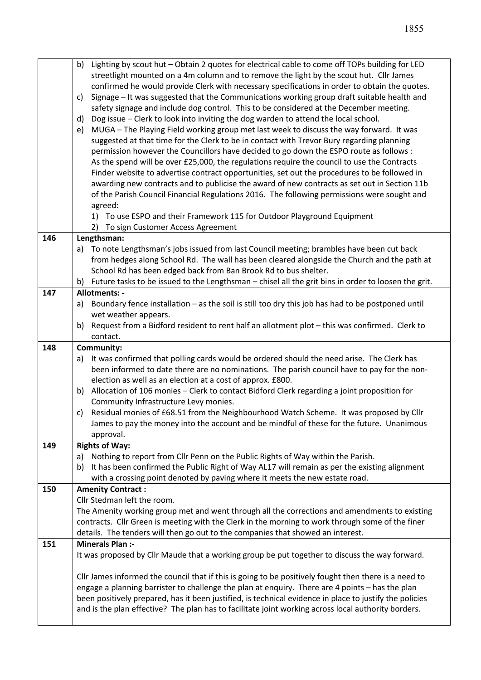|     | Lighting by scout hut - Obtain 2 quotes for electrical cable to come off TOPs building for LED<br>b)                                                                                                           |  |  |  |  |
|-----|----------------------------------------------------------------------------------------------------------------------------------------------------------------------------------------------------------------|--|--|--|--|
|     | streetlight mounted on a 4m column and to remove the light by the scout hut. Cllr James                                                                                                                        |  |  |  |  |
|     | confirmed he would provide Clerk with necessary specifications in order to obtain the quotes.                                                                                                                  |  |  |  |  |
|     | Signage - It was suggested that the Communications working group draft suitable health and<br>C)                                                                                                               |  |  |  |  |
|     | safety signage and include dog control. This to be considered at the December meeting.                                                                                                                         |  |  |  |  |
|     | Dog issue - Clerk to look into inviting the dog warden to attend the local school.<br>d)                                                                                                                       |  |  |  |  |
|     | MUGA - The Playing Field working group met last week to discuss the way forward. It was<br>e)                                                                                                                  |  |  |  |  |
|     | suggested at that time for the Clerk to be in contact with Trevor Bury regarding planning                                                                                                                      |  |  |  |  |
|     | permission however the Councillors have decided to go down the ESPO route as follows :                                                                                                                         |  |  |  |  |
|     | As the spend will be over £25,000, the regulations require the council to use the Contracts                                                                                                                    |  |  |  |  |
|     | Finder website to advertise contract opportunities, set out the procedures to be followed in                                                                                                                   |  |  |  |  |
|     | awarding new contracts and to publicise the award of new contracts as set out in Section 11b                                                                                                                   |  |  |  |  |
|     | of the Parish Council Financial Regulations 2016. The following permissions were sought and                                                                                                                    |  |  |  |  |
|     | agreed:                                                                                                                                                                                                        |  |  |  |  |
|     | 1) To use ESPO and their Framework 115 for Outdoor Playground Equipment                                                                                                                                        |  |  |  |  |
|     | To sign Customer Access Agreement<br>2)                                                                                                                                                                        |  |  |  |  |
| 146 | Lengthsman:                                                                                                                                                                                                    |  |  |  |  |
|     | To note Lengthsman's jobs issued from last Council meeting; brambles have been cut back<br>a)                                                                                                                  |  |  |  |  |
|     | from hedges along School Rd. The wall has been cleared alongside the Church and the path at                                                                                                                    |  |  |  |  |
|     | School Rd has been edged back from Ban Brook Rd to bus shelter.                                                                                                                                                |  |  |  |  |
|     | Future tasks to be issued to the Lengthsman - chisel all the grit bins in order to loosen the grit.<br>b)                                                                                                      |  |  |  |  |
| 147 | Allotments: -                                                                                                                                                                                                  |  |  |  |  |
|     | Boundary fence installation - as the soil is still too dry this job has had to be postponed until<br>a)                                                                                                        |  |  |  |  |
|     | wet weather appears.<br>Request from a Bidford resident to rent half an allotment plot - this was confirmed. Clerk to<br>b)                                                                                    |  |  |  |  |
|     | contact.                                                                                                                                                                                                       |  |  |  |  |
| 148 | <b>Community:</b>                                                                                                                                                                                              |  |  |  |  |
|     | It was confirmed that polling cards would be ordered should the need arise. The Clerk has<br>a)                                                                                                                |  |  |  |  |
|     | been informed to date there are no nominations. The parish council have to pay for the non-                                                                                                                    |  |  |  |  |
|     | election as well as an election at a cost of approx. £800.                                                                                                                                                     |  |  |  |  |
|     | Allocation of 106 monies - Clerk to contact Bidford Clerk regarding a joint proposition for<br>b)                                                                                                              |  |  |  |  |
|     | Community Infrastructure Levy monies.                                                                                                                                                                          |  |  |  |  |
|     | Residual monies of £68.51 from the Neighbourhood Watch Scheme. It was proposed by Cllr<br>c)                                                                                                                   |  |  |  |  |
|     | James to pay the money into the account and be mindful of these for the future. Unanimous                                                                                                                      |  |  |  |  |
|     | approval.                                                                                                                                                                                                      |  |  |  |  |
| 149 | <b>Rights of Way:</b>                                                                                                                                                                                          |  |  |  |  |
|     | Nothing to report from Cllr Penn on the Public Rights of Way within the Parish.<br>a)                                                                                                                          |  |  |  |  |
|     | It has been confirmed the Public Right of Way AL17 will remain as per the existing alignment<br>b)                                                                                                             |  |  |  |  |
|     | with a crossing point denoted by paving where it meets the new estate road.                                                                                                                                    |  |  |  |  |
|     |                                                                                                                                                                                                                |  |  |  |  |
| 150 | <b>Amenity Contract:</b>                                                                                                                                                                                       |  |  |  |  |
|     | Cllr Stedman left the room.                                                                                                                                                                                    |  |  |  |  |
|     | The Amenity working group met and went through all the corrections and amendments to existing                                                                                                                  |  |  |  |  |
|     | contracts. Cllr Green is meeting with the Clerk in the morning to work through some of the finer                                                                                                               |  |  |  |  |
|     | details. The tenders will then go out to the companies that showed an interest.                                                                                                                                |  |  |  |  |
| 151 | <b>Minerals Plan:-</b>                                                                                                                                                                                         |  |  |  |  |
|     | It was proposed by Cllr Maude that a working group be put together to discuss the way forward.                                                                                                                 |  |  |  |  |
|     |                                                                                                                                                                                                                |  |  |  |  |
|     | Cllr James informed the council that if this is going to be positively fought then there is a need to                                                                                                          |  |  |  |  |
|     | engage a planning barrister to challenge the plan at enquiry. There are 4 points - has the plan                                                                                                                |  |  |  |  |
|     | been positively prepared, has it been justified, is technical evidence in place to justify the policies<br>and is the plan effective? The plan has to facilitate joint working across local authority borders. |  |  |  |  |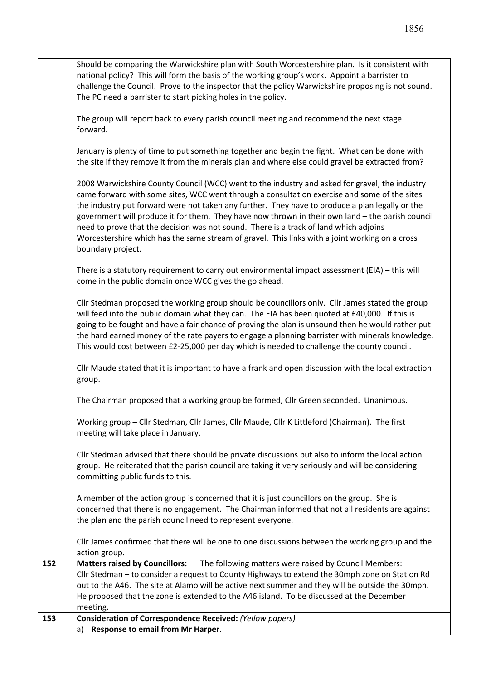|                                                                                                | Should be comparing the Warwickshire plan with South Worcestershire plan. Is it consistent with      |  |  |  |  |
|------------------------------------------------------------------------------------------------|------------------------------------------------------------------------------------------------------|--|--|--|--|
|                                                                                                | national policy? This will form the basis of the working group's work. Appoint a barrister to        |  |  |  |  |
|                                                                                                | challenge the Council. Prove to the inspector that the policy Warwickshire proposing is not sound.   |  |  |  |  |
|                                                                                                | The PC need a barrister to start picking holes in the policy.                                        |  |  |  |  |
|                                                                                                | The group will report back to every parish council meeting and recommend the next stage              |  |  |  |  |
|                                                                                                |                                                                                                      |  |  |  |  |
|                                                                                                | forward.                                                                                             |  |  |  |  |
|                                                                                                |                                                                                                      |  |  |  |  |
|                                                                                                | January is plenty of time to put something together and begin the fight. What can be done with       |  |  |  |  |
|                                                                                                | the site if they remove it from the minerals plan and where else could gravel be extracted from?     |  |  |  |  |
|                                                                                                |                                                                                                      |  |  |  |  |
| 2008 Warwickshire County Council (WCC) went to the industry and asked for gravel, the industry |                                                                                                      |  |  |  |  |
|                                                                                                | came forward with some sites, WCC went through a consultation exercise and some of the sites         |  |  |  |  |
|                                                                                                | the industry put forward were not taken any further. They have to produce a plan legally or the      |  |  |  |  |
|                                                                                                | government will produce it for them. They have now thrown in their own land - the parish council     |  |  |  |  |
|                                                                                                | need to prove that the decision was not sound. There is a track of land which adjoins                |  |  |  |  |
| Worcestershire which has the same stream of gravel. This links with a joint working on a cross |                                                                                                      |  |  |  |  |
|                                                                                                | boundary project.                                                                                    |  |  |  |  |
|                                                                                                |                                                                                                      |  |  |  |  |
|                                                                                                | There is a statutory requirement to carry out environmental impact assessment (EIA) - this will      |  |  |  |  |
|                                                                                                | come in the public domain once WCC gives the go ahead.                                               |  |  |  |  |
|                                                                                                |                                                                                                      |  |  |  |  |
|                                                                                                | Cllr Stedman proposed the working group should be councillors only. Cllr James stated the group      |  |  |  |  |
|                                                                                                | will feed into the public domain what they can. The EIA has been quoted at £40,000. If this is       |  |  |  |  |
|                                                                                                | going to be fought and have a fair chance of proving the plan is unsound then he would rather put    |  |  |  |  |
|                                                                                                | the hard earned money of the rate payers to engage a planning barrister with minerals knowledge.     |  |  |  |  |
|                                                                                                | This would cost between £2-25,000 per day which is needed to challenge the county council.           |  |  |  |  |
|                                                                                                |                                                                                                      |  |  |  |  |
|                                                                                                | Cllr Maude stated that it is important to have a frank and open discussion with the local extraction |  |  |  |  |
|                                                                                                | group.                                                                                               |  |  |  |  |
|                                                                                                |                                                                                                      |  |  |  |  |
|                                                                                                | The Chairman proposed that a working group be formed, Cllr Green seconded. Unanimous.                |  |  |  |  |
|                                                                                                | Working group - Cllr Stedman, Cllr James, Cllr Maude, Cllr K Littleford (Chairman). The first        |  |  |  |  |
|                                                                                                |                                                                                                      |  |  |  |  |
|                                                                                                | meeting will take place in January.                                                                  |  |  |  |  |
|                                                                                                |                                                                                                      |  |  |  |  |
|                                                                                                | Cllr Stedman advised that there should be private discussions but also to inform the local action    |  |  |  |  |
|                                                                                                | group. He reiterated that the parish council are taking it very seriously and will be considering    |  |  |  |  |
|                                                                                                | committing public funds to this.                                                                     |  |  |  |  |
|                                                                                                | A member of the action group is concerned that it is just councillors on the group. She is           |  |  |  |  |
|                                                                                                | concerned that there is no engagement. The Chairman informed that not all residents are against      |  |  |  |  |
|                                                                                                |                                                                                                      |  |  |  |  |
|                                                                                                | the plan and the parish council need to represent everyone.                                          |  |  |  |  |
|                                                                                                | CIIr James confirmed that there will be one to one discussions between the working group and the     |  |  |  |  |
|                                                                                                | action group.                                                                                        |  |  |  |  |
| 152                                                                                            | The following matters were raised by Council Members:<br><b>Matters raised by Councillors:</b>       |  |  |  |  |
|                                                                                                | Cllr Stedman - to consider a request to County Highways to extend the 30mph zone on Station Rd       |  |  |  |  |
|                                                                                                | out to the A46. The site at Alamo will be active next summer and they will be outside the 30mph.     |  |  |  |  |
|                                                                                                | He proposed that the zone is extended to the A46 island. To be discussed at the December             |  |  |  |  |
|                                                                                                | meeting.                                                                                             |  |  |  |  |
| 153                                                                                            | Consideration of Correspondence Received: (Yellow papers)                                            |  |  |  |  |
|                                                                                                | Response to email from Mr Harper.<br>a)                                                              |  |  |  |  |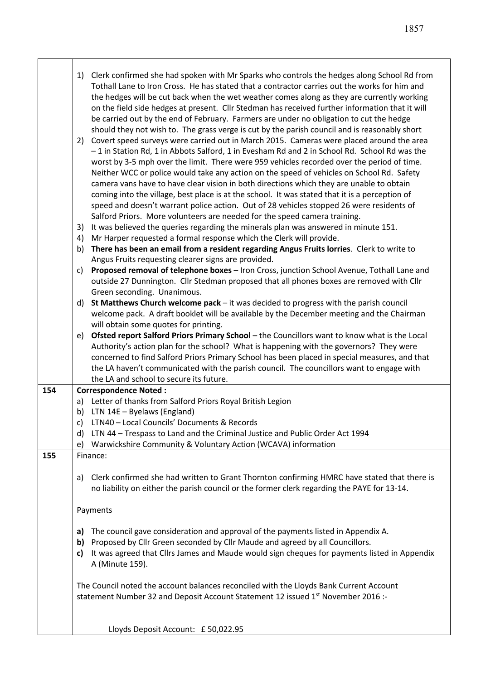|     | Clerk confirmed she had spoken with Mr Sparks who controls the hedges along School Rd from<br>1)<br>Tothall Lane to Iron Cross. He has stated that a contractor carries out the works for him and<br>the hedges will be cut back when the wet weather comes along as they are currently working<br>on the field side hedges at present. Cllr Stedman has received further information that it will<br>be carried out by the end of February. Farmers are under no obligation to cut the hedge<br>should they not wish to. The grass verge is cut by the parish council and is reasonably short<br>Covert speed surveys were carried out in March 2015. Cameras were placed around the area<br>2)<br>-1 in Station Rd, 1 in Abbots Salford, 1 in Evesham Rd and 2 in School Rd. School Rd was the<br>worst by 3-5 mph over the limit. There were 959 vehicles recorded over the period of time.<br>Neither WCC or police would take any action on the speed of vehicles on School Rd. Safety<br>camera vans have to have clear vision in both directions which they are unable to obtain<br>coming into the village, best place is at the school. It was stated that it is a perception of<br>speed and doesn't warrant police action. Out of 28 vehicles stopped 26 were residents of<br>Salford Priors. More volunteers are needed for the speed camera training.<br>It was believed the queries regarding the minerals plan was answered in minute 151.<br>3)<br>Mr Harper requested a formal response which the Clerk will provide.<br>4)<br>There has been an email from a resident regarding Angus Fruits lorries. Clerk to write to<br>b)<br>Angus Fruits requesting clearer signs are provided.<br>Proposed removal of telephone boxes - Iron Cross, junction School Avenue, Tothall Lane and<br>c)<br>outside 27 Dunnington. Cllr Stedman proposed that all phones boxes are removed with Cllr<br>Green seconding. Unanimous.<br>St Matthews Church welcome pack - it was decided to progress with the parish council<br>d)<br>welcome pack. A draft booklet will be available by the December meeting and the Chairman<br>will obtain some quotes for printing.<br>Ofsted report Salford Priors Primary School - the Councillors want to know what is the Local<br>e)<br>Authority's action plan for the school? What is happening with the governors? They were |  |  |
|-----|---------------------------------------------------------------------------------------------------------------------------------------------------------------------------------------------------------------------------------------------------------------------------------------------------------------------------------------------------------------------------------------------------------------------------------------------------------------------------------------------------------------------------------------------------------------------------------------------------------------------------------------------------------------------------------------------------------------------------------------------------------------------------------------------------------------------------------------------------------------------------------------------------------------------------------------------------------------------------------------------------------------------------------------------------------------------------------------------------------------------------------------------------------------------------------------------------------------------------------------------------------------------------------------------------------------------------------------------------------------------------------------------------------------------------------------------------------------------------------------------------------------------------------------------------------------------------------------------------------------------------------------------------------------------------------------------------------------------------------------------------------------------------------------------------------------------------------------------------------------------------------------------------------------------------------------------------------------------------------------------------------------------------------------------------------------------------------------------------------------------------------------------------------------------------------------------------------------------------------------------------------------------------------------------------------------------------------------------------------------------------|--|--|
|     | concerned to find Salford Priors Primary School has been placed in special measures, and that<br>the LA haven't communicated with the parish council. The councillors want to engage with                                                                                                                                                                                                                                                                                                                                                                                                                                                                                                                                                                                                                                                                                                                                                                                                                                                                                                                                                                                                                                                                                                                                                                                                                                                                                                                                                                                                                                                                                                                                                                                                                                                                                                                                                                                                                                                                                                                                                                                                                                                                                                                                                                                 |  |  |
|     | the LA and school to secure its future.                                                                                                                                                                                                                                                                                                                                                                                                                                                                                                                                                                                                                                                                                                                                                                                                                                                                                                                                                                                                                                                                                                                                                                                                                                                                                                                                                                                                                                                                                                                                                                                                                                                                                                                                                                                                                                                                                                                                                                                                                                                                                                                                                                                                                                                                                                                                   |  |  |
| 154 | <b>Correspondence Noted:</b>                                                                                                                                                                                                                                                                                                                                                                                                                                                                                                                                                                                                                                                                                                                                                                                                                                                                                                                                                                                                                                                                                                                                                                                                                                                                                                                                                                                                                                                                                                                                                                                                                                                                                                                                                                                                                                                                                                                                                                                                                                                                                                                                                                                                                                                                                                                                              |  |  |
|     | Letter of thanks from Salford Priors Royal British Legion<br>a)<br>LTN 14E - Byelaws (England)<br>b)                                                                                                                                                                                                                                                                                                                                                                                                                                                                                                                                                                                                                                                                                                                                                                                                                                                                                                                                                                                                                                                                                                                                                                                                                                                                                                                                                                                                                                                                                                                                                                                                                                                                                                                                                                                                                                                                                                                                                                                                                                                                                                                                                                                                                                                                      |  |  |
|     | LTN40 - Local Councils' Documents & Records<br>C)                                                                                                                                                                                                                                                                                                                                                                                                                                                                                                                                                                                                                                                                                                                                                                                                                                                                                                                                                                                                                                                                                                                                                                                                                                                                                                                                                                                                                                                                                                                                                                                                                                                                                                                                                                                                                                                                                                                                                                                                                                                                                                                                                                                                                                                                                                                         |  |  |
|     | LTN 44 - Trespass to Land and the Criminal Justice and Public Order Act 1994<br>d)                                                                                                                                                                                                                                                                                                                                                                                                                                                                                                                                                                                                                                                                                                                                                                                                                                                                                                                                                                                                                                                                                                                                                                                                                                                                                                                                                                                                                                                                                                                                                                                                                                                                                                                                                                                                                                                                                                                                                                                                                                                                                                                                                                                                                                                                                        |  |  |
|     | Warwickshire Community & Voluntary Action (WCAVA) information<br>e)                                                                                                                                                                                                                                                                                                                                                                                                                                                                                                                                                                                                                                                                                                                                                                                                                                                                                                                                                                                                                                                                                                                                                                                                                                                                                                                                                                                                                                                                                                                                                                                                                                                                                                                                                                                                                                                                                                                                                                                                                                                                                                                                                                                                                                                                                                       |  |  |
| 155 | Finance:                                                                                                                                                                                                                                                                                                                                                                                                                                                                                                                                                                                                                                                                                                                                                                                                                                                                                                                                                                                                                                                                                                                                                                                                                                                                                                                                                                                                                                                                                                                                                                                                                                                                                                                                                                                                                                                                                                                                                                                                                                                                                                                                                                                                                                                                                                                                                                  |  |  |
|     | Clerk confirmed she had written to Grant Thornton confirming HMRC have stated that there is<br>a)<br>no liability on either the parish council or the former clerk regarding the PAYE for 13-14.                                                                                                                                                                                                                                                                                                                                                                                                                                                                                                                                                                                                                                                                                                                                                                                                                                                                                                                                                                                                                                                                                                                                                                                                                                                                                                                                                                                                                                                                                                                                                                                                                                                                                                                                                                                                                                                                                                                                                                                                                                                                                                                                                                          |  |  |
|     | Payments                                                                                                                                                                                                                                                                                                                                                                                                                                                                                                                                                                                                                                                                                                                                                                                                                                                                                                                                                                                                                                                                                                                                                                                                                                                                                                                                                                                                                                                                                                                                                                                                                                                                                                                                                                                                                                                                                                                                                                                                                                                                                                                                                                                                                                                                                                                                                                  |  |  |
|     | The council gave consideration and approval of the payments listed in Appendix A.<br>a)<br>Proposed by Cllr Green seconded by Cllr Maude and agreed by all Councillors.<br>b)<br>It was agreed that Cllrs James and Maude would sign cheques for payments listed in Appendix<br>c)<br>A (Minute 159).                                                                                                                                                                                                                                                                                                                                                                                                                                                                                                                                                                                                                                                                                                                                                                                                                                                                                                                                                                                                                                                                                                                                                                                                                                                                                                                                                                                                                                                                                                                                                                                                                                                                                                                                                                                                                                                                                                                                                                                                                                                                     |  |  |
|     | The Council noted the account balances reconciled with the Lloyds Bank Current Account<br>statement Number 32 and Deposit Account Statement 12 issued 1 <sup>st</sup> November 2016 :-                                                                                                                                                                                                                                                                                                                                                                                                                                                                                                                                                                                                                                                                                                                                                                                                                                                                                                                                                                                                                                                                                                                                                                                                                                                                                                                                                                                                                                                                                                                                                                                                                                                                                                                                                                                                                                                                                                                                                                                                                                                                                                                                                                                    |  |  |
|     | Lloyds Deposit Account: £50,022.95                                                                                                                                                                                                                                                                                                                                                                                                                                                                                                                                                                                                                                                                                                                                                                                                                                                                                                                                                                                                                                                                                                                                                                                                                                                                                                                                                                                                                                                                                                                                                                                                                                                                                                                                                                                                                                                                                                                                                                                                                                                                                                                                                                                                                                                                                                                                        |  |  |